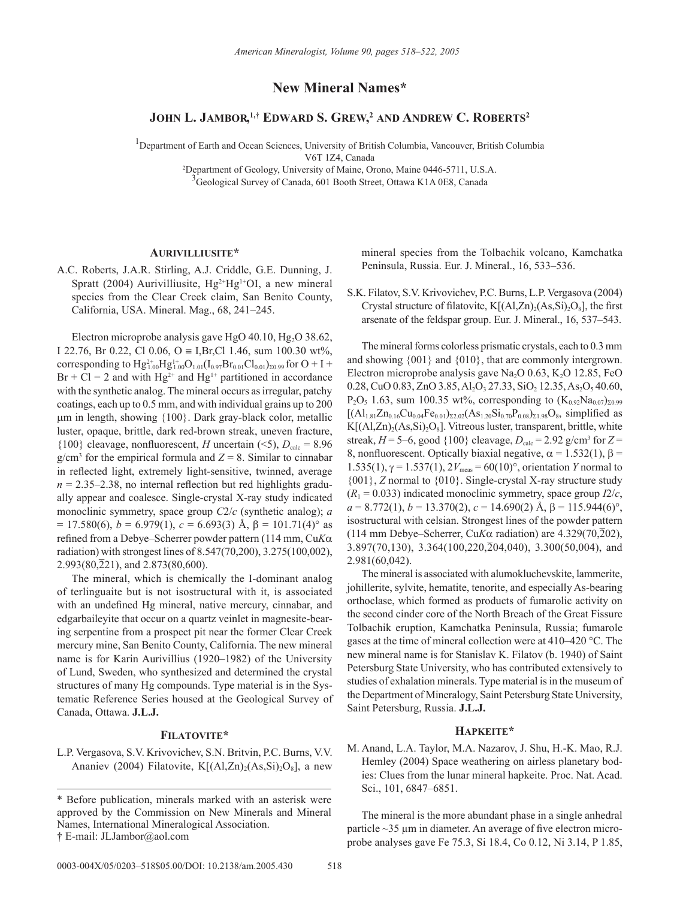# **New Mineral Names\***

# **JOHN L. JAMBOR, 1,† EDWARD S. GREW, <sup>2</sup> AND ANDREW C. ROBERTS2**

<sup>1</sup>Department of Earth and Ocean Sciences, University of British Columbia, Vancouver, British Columbia

V6T 1Z4, Canada

2 Department of Geology, University of Maine, Orono, Maine 0446-5711, U.S.A. <sup>3</sup>Geological Survey of Canada, 601 Booth Street, Ottawa K1A 0E8, Canada

## **AURIVILLIUSITE\***

A.C. Roberts, J.A.R. Stirling, A.J. Criddle, G.E. Dunning, J. Spratt (2004) Aurivilliusite,  $Hg^{2+}Hg^{1+}OI$ , a new mineral species from the Clear Creek claim, San Benito County, California, USA. Mineral. Mag., 68, 241–245.

Electron microprobe analysis gave HgO  $40.10$ , Hg<sub>2</sub>O  $38.62$ , I 22.76, Br 0.22, Cl 0.06, O = I,Br,Cl 1.46, sum 100.30 wt%, corresponding to  $Hg_{1.00}^{2+}Hg_{1.00}^{1+}O_{1.01}(I_{0.97}Br_{0.01}Cl_{0.01})_{\Sigma_{0.99}}$  for  $O+I+$  $Br + Cl = 2$  and with  $Hg^{2+}$  and  $Hg^{1+}$  partitioned in accordance with the synthetic analog. The mineral occurs as irregular, patchy coatings, each up to 0.5 mm, and with individual grains up to 200 µm in length, showing {100}. Dark gray-black color, metallic luster, opaque, brittle, dark red-brown streak, uneven fracture,  ${100}$  cleavage, nonfluorescent, *H* uncertain (<5),  $D_{\text{calc}} = 8.96$  $g/cm<sup>3</sup>$  for the empirical formula and  $Z = 8$ . Similar to cinnabar in reflected light, extremely light-sensitive, twinned, average  $n = 2.35 - 2.38$ , no internal reflection but red highlights gradually appear and coalesce. Single-crystal X-ray study indicated monoclinic symmetry, space group *C*2/*c* (synthetic analog); *a*  $= 17.580(6)$ ,  $b = 6.979(1)$ ,  $c = 6.693(3)$  Å,  $\beta = 101.71(4)$ ° as refined from a Debye–Scherrer powder pattern (114 mm, Cu*K*α radiation) with strongest lines of 8.547(70,200), 3.275(100,002),  $2.993(80,221)$ , and  $2.873(80,600)$ .

The mineral, which is chemically the I-dominant analog of terlinguaite but is not isostructural with it, is associated with an undefined Hg mineral, native mercury, cinnabar, and edgarbaileyite that occur on a quartz veinlet in magnesite-bearing serpentine from a prospect pit near the former Clear Creek mercury mine, San Benito County, California. The new mineral name is for Karin Aurivillius (1920–1982) of the University of Lund, Sweden, who synthesized and determined the crystal structures of many Hg compounds. Type material is in the Systematic Reference Series housed at the Geological Survey of Canada, Ottawa. **J.L.J.**

## **FILATOVITE\***

L.P. Vergasova, S.V. Krivovichev, S.N. Britvin, P.C. Burns, V.V. Ananiev (2004) Filatovite,  $K[(A1,Zn)_{2}(As,Si)_{2}O_{8}]$ , a new mineral species from the Tolbachik volcano, Kamchatka Peninsula, Russia. Eur. J. Mineral., 16, 533–536.

S.K. Filatov, S.V. Krivovichev, P.C. Burns, L.P. Vergasova (2004) Crystal structure of filatovite,  $K[(A1,Zn)_{2}(As,Si)_{2}O_{8}]$ , the first arsenate of the feldspar group. Eur. J. Mineral., 16, 537–543.

The mineral forms colorless prismatic crystals, each to 0.3 mm and showing {001} and {010}, that are commonly intergrown. Electron microprobe analysis gave Na<sub>2</sub>O 0.63, K<sub>2</sub>O 12.85, FeO 0.28, CuO 0.83, ZnO 3.85, Al<sub>2</sub>O<sub>3</sub> 27.33, SiO<sub>2</sub> 12.35, As<sub>2</sub>O<sub>5</sub> 40.60,  $P_2O_5$  1.63, sum 100.35 wt%, corresponding to  $(K_{0.92}Na_{0.07})_{\Sigma_{0.99}}$  $[(Al_{1.81}Zn_{0.16}Cu_{0.04}Fe_{0.01})_{\Sigma2.02}(As_{1.20}Si_{0.70}P_{0.08})_{\Sigma1.98}O_8$ , simplified as  $K[(A1,Zn)_{2}(As,Si)_{2}O_{8}]$ . Vitreous luster, transparent, brittle, white streak,  $H = 5{\text{-}}6$ , good  $\{100\}$  cleavage,  $D_{\text{calc}} = 2.92$  g/cm<sup>3</sup> for  $Z =$ 8, nonfluorescent. Optically biaxial negative,  $\alpha = 1.532(1)$ ,  $\beta =$ 1.535(1),  $\gamma = 1.537(1)$ ,  $2V_{meas} = 60(10)$ <sup>o</sup>, orientation *Y* normal to {001}, *Z* normal to {010}. Single-crystal X-ray structure study  $(R_1 = 0.033)$  indicated monoclinic symmetry, space group  $I2/c$ ,  $a = 8.772(1), b = 13.370(2), c = 14.690(2)$  Å,  $\beta = 115.944(6)^\circ$ , isostructural with celsian. Strongest lines of the powder pattern  $(114 \text{ mm}$  Debye–Scherrer, Cu*Kα* radiation) are  $4.329(70,202)$ ,  $3.897(70,130)$ ,  $3.364(100,220,204,040)$ ,  $3.300(50,004)$ , and 2.981(60,042).

The mineral is associated with alumokluchevskite, lammerite, johillerite, sylvite, hematite, tenorite, and especially As-bearing orthoclase, which formed as products of fumarolic activity on the second cinder core of the North Breach of the Great Fissure Tolbachik eruption, Kamchatka Peninsula, Russia; fumarole gases at the time of mineral collection were at 410–420 °C. The new mineral name is for Stanislav K. Filatov (b. 1940) of Saint Petersburg State University, who has contributed extensively to studies of exhalation minerals. Type material is in the museum of the Department of Mineralogy, Saint Petersburg State University, Saint Petersburg, Russia. **J.L.J.**

## **HAPKEITE\***

M. Anand, L.A. Taylor, M.A. Nazarov, J. Shu, H.-K. Mao, R.J. Hemley (2004) Space weathering on airless planetary bodies: Clues from the lunar mineral hapkeite. Proc. Nat. Acad. Sci., 101, 6847–6851.

The mineral is the more abundant phase in a single anhedral particle  $\sim$ 35  $\mu$ m in diameter. An average of five electron microprobe analyses gave Fe 75.3, Si 18.4, Co 0.12, Ni 3.14, P 1.85,

<sup>\*</sup> Before publication, minerals marked with an asterisk were approved by the Commission on New Minerals and Mineral Names, International Mineralogical Association. † E-mail: JLJambor@aol.com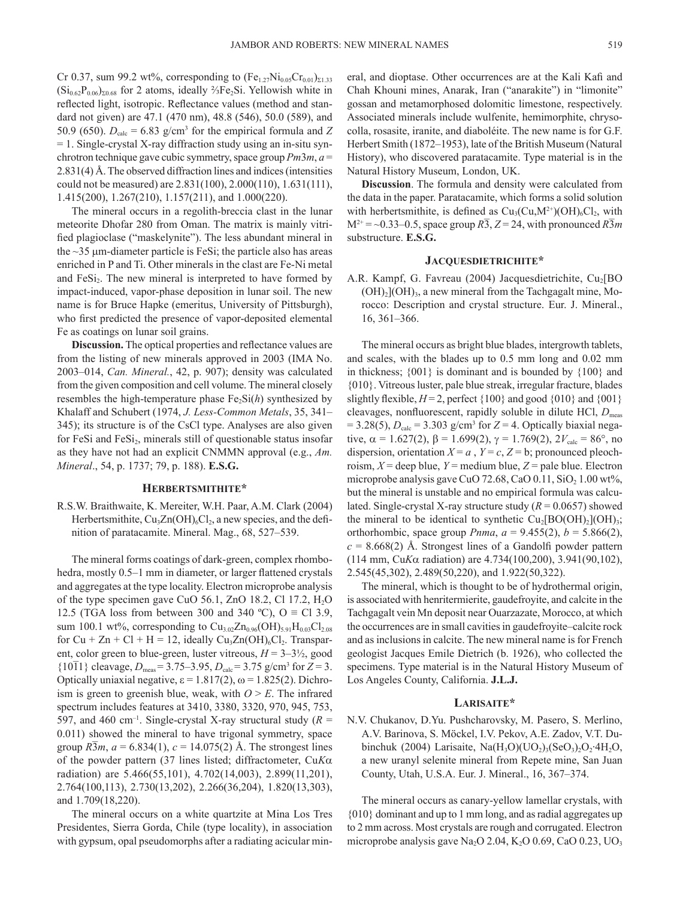Cr 0.37, sum 99.2 wt%, corresponding to  $(Fe_{1.27}Ni_{0.05}Cr_{0.01})_{\Sigma1.33}$  $(Si<sub>0.62</sub>P<sub>0.06</sub>)<sub>20.68</sub>$  for 2 atoms, ideally <sup>2</sup>/<sub>3</sub>Fe<sub>2</sub>Si. Yellowish white in reflected light, isotropic. Reflectance values (method and standard not given) are 47.1 (470 nm), 48.8 (546), 50.0 (589), and 50.9 (650).  $D_{\text{calc}} = 6.83$  g/cm<sup>3</sup> for the empirical formula and *Z* = 1. Single-crystal X-ray diffraction study using an in-situ synchrotron technique gave cubic symmetry, space group *Pm*3*m*, *a* = 2.831(4) Å. The observed diffraction lines and indices (intensities could not be measured) are 2.831(100), 2.000(110), 1.631(111), 1.415(200), 1.267(210), 1.157(211), and 1.000(220).

The mineral occurs in a regolith-breccia clast in the lunar meteorite Dhofar 280 from Oman. The matrix is mainly vitrified plagioclase ("maskelynite"). The less abundant mineral in the  $\sim$ 35  $\mu$ m-diameter particle is FeSi; the particle also has areas enriched in P and Ti. Other minerals in the clast are Fe-Ni metal and FeS<sub>1</sub>. The new mineral is interpreted to have formed by impact-induced, vapor-phase deposition in lunar soil. The new name is for Bruce Hapke (emeritus, University of Pittsburgh), who first predicted the presence of vapor-deposited elemental Fe as coatings on lunar soil grains.

**Discussion.** The optical properties and reflectance values are from the listing of new minerals approved in 2003 (IMA No. 2003–014, *Can. Mineral.*, 42, p. 907); density was calculated from the given composition and cell volume. The mineral closely resembles the high-temperature phase  $Fe<sub>2</sub>Si(h)$  synthesized by Khalaff and Schubert (1974, *J. Less-Common Metals*, 35, 341– 345); its structure is of the CsCl type. Analyses are also given for FeSi and  $Fes1<sub>2</sub>$ , minerals still of questionable status insofar as they have not had an explicit CNMMN approval (e.g., *Am. Mineral*., 54, p. 1737; 79, p. 188). **E.S.G.**

## **HERBERTSMITHITE\***

R.S.W. Braithwaite, K. Mereiter, W.H. Paar, A.M. Clark (2004) Herbertsmithite,  $Cu<sub>3</sub>Zn(OH)<sub>6</sub>Cl<sub>2</sub>$ , a new species, and the definition of paratacamite. Mineral. Mag., 68, 527–539.

The mineral forms coatings of dark-green, complex rhombohedra, mostly 0.5–1 mm in diameter, or larger flattened crystals and aggregates at the type locality. Electron microprobe analysis of the type specimen gave CuO 56.1, ZnO 18.2, Cl 17.2,  $H_2O$ 12.5 (TGA loss from between 300 and 340 °C), O  $\equiv$  Cl 3.9, sum 100.1 wt%, corresponding to  $Cu_{3.02}Zn_{0.96}(OH)_{5.91}H_{0.03}Cl_{2.08}$ for  $Cu + Zn + Cl + H = 12$ , ideally  $Cu<sub>3</sub>Zn(OH)<sub>6</sub>Cl<sub>2</sub>$ . Transparent, color green to blue-green, luster vitreous,  $H = 3-3\frac{1}{2}$ , good  ${10\overline{1}}$  cleavage,  $D_{\text{meas}} = 3.75-3.95$ ,  $D_{\text{calc}} = 3.75$  g/cm<sup>3</sup> for  $Z = 3$ . Optically uniaxial negative, ε = 1.817(2), ω = 1.825(2). Dichroism is green to greenish blue, weak, with  $O > E$ . The infrared spectrum includes features at 3410, 3380, 3320, 970, 945, 753, 597, and 460 cm<sup>-1</sup>. Single-crystal X-ray structural study ( $R =$ 0.011) showed the mineral to have trigonal symmetry, space group  $R\bar{3}m$ ,  $a = 6.834(1)$ ,  $c = 14.075(2)$  Å. The strongest lines of the powder pattern (37 lines listed; diffractometer, Cu*K*α radiation) are 5.466(55,101), 4.702(14,003), 2.899(11,201), 2.764(100,113), 2.730(13,202), 2.266(36,204), 1.820(13,303), and 1.709(18,220).

The mineral occurs on a white quartzite at Mina Los Tres Presidentes, Sierra Gorda, Chile (type locality), in association with gypsum, opal pseudomorphs after a radiating acicular mineral, and dioptase. Other occurrences are at the Kali Kafi and Chah Khouni mines, Anarak, Iran ("anarakite") in "limonite" gossan and metamorphosed dolomitic limestone, respectively. Associated minerals include wulfenite, hemimorphite, chrysocolla, rosasite, iranite, and diaboléite. The new name is for G.F. Herbert Smith (1872–1953), late of the British Museum (Natural History), who discovered paratacamite. Type material is in the Natural History Museum, London, UK.

**Discussion**. The formula and density were calculated from the data in the paper. Paratacamite, which forms a solid solution with herbertsmithite, is defined as  $Cu<sub>3</sub>(Cu, M<sup>2+</sup>)(OH)<sub>6</sub>Cl<sub>2</sub>$ , with  $M^{2+} = \sim 0.33 - 0.5$ , space group  $R\overline{3}$ ,  $Z = 24$ , with pronounced  $R\overline{3}m$ substructure. **E.S.G.**

## **JACQUESDIETRICHITE\***

A.R. Kampf, G. Favreau (2004) Jacquesdietrichite, Cu<sub>2</sub>[BO]  $(OH)<sub>2</sub> (OH)<sub>3</sub>$ , a new mineral from the Tachgagalt mine, Morocco: Description and crystal structure. Eur. J. Mineral., 16, 361–366.

The mineral occurs as bright blue blades, intergrowth tablets, and scales, with the blades up to 0.5 mm long and 0.02 mm in thickness; {001} is dominant and is bounded by {100} and {010}. Vitreous luster, pale blue streak, irregular fracture, blades slightly flexible,  $H = 2$ , perfect  $\{100\}$  and good  $\{010\}$  and  $\{001\}$ cleavages, nonfluorescent, rapidly soluble in dilute HCl,  $D_{\text{meas}}$  $= 3.28(5)$ ,  $D_{\text{calc}} = 3.303$  g/cm<sup>3</sup> for  $Z = 4$ . Optically biaxial negative,  $\alpha = 1.627(2)$ ,  $\beta = 1.699(2)$ ,  $\gamma = 1.769(2)$ ,  $2V_{\text{calc}} = 86^{\circ}$ , no dispersion, orientation  $X = a$ ,  $Y = c$ ,  $Z = b$ ; pronounced pleochroism,  $X =$  deep blue,  $Y =$  medium blue,  $Z =$  pale blue. Electron microprobe analysis gave CuO 72.68, CaO  $0.11$ , SiO<sub>2</sub>  $1.00$  wt%, but the mineral is unstable and no empirical formula was calculated. Single-crystal X-ray structure study  $(R = 0.0657)$  showed the mineral to be identical to synthetic  $Cu<sub>2</sub>[BO(OH)<sub>2</sub>](OH)<sub>3</sub>;$ orthorhombic, space group *Pnma*,  $a = 9.455(2)$ ,  $b = 5.866(2)$ ,  $c = 8.668(2)$  Å. Strongest lines of a Gandolfi powder pattern (114 mm, Cu*K*α radiation) are 4.734(100,200), 3.941(90,102), 2.545(45,302), 2.489(50,220), and 1.922(50,322).

The mineral, which is thought to be of hydrothermal origin, is associated with henritermierite, gaudefroyite, and calcite in the Tachgagalt vein Mn deposit near Ouarzazate, Morocco, at which the occurrences are in small cavities in gaudefroyite–calcite rock and as inclusions in calcite. The new mineral name is for French geologist Jacques Emile Dietrich (b. 1926), who collected the specimens. Type material is in the Natural History Museum of Los Angeles County, California. **J.L.J.**

#### **LARISAITE\***

N.V. Chukanov, D.Yu. Pushcharovsky, M. Pasero, S. Merlino, A.V. Barinova, S. Möckel, I.V. Pekov, A.E. Zadov, V.T. Dubinchuk (2004) Larisaite, Na $(H_3O)(UO_2)_3(SeO_3)_2O_2$ ·4 $H_2O$ , a new uranyl selenite mineral from Repete mine, San Juan County, Utah, U.S.A. Eur. J. Mineral., 16, 367–374.

The mineral occurs as canary-yellow lamellar crystals, with {010} dominant and up to 1 mm long, and as radial aggregates up to 2 mm across. Most crystals are rough and corrugated. Electron microprobe analysis gave Na<sub>2</sub>O 2.04, K<sub>2</sub>O 0.69, CaO 0.23, UO<sub>3</sub>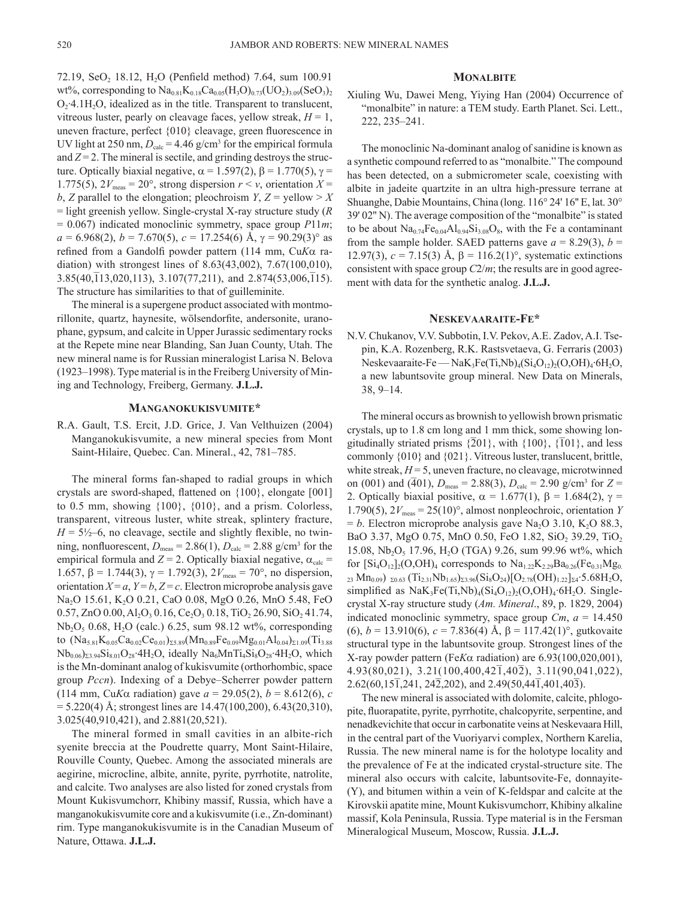72.19, SeO<sub>2</sub> 18.12, H<sub>2</sub>O (Penfield method) 7.64, sum 100.91 wt%, corresponding to  $Na_{0.81}K_{0.18}Ca_{0.05}(H_3O)_{0.73}(UO_2)_{3.09}(SeO_3)_{2}$  $O_2$  4.1H<sub>2</sub>O, idealized as in the title. Transparent to translucent, vitreous luster, pearly on cleavage faces, yellow streak,  $H = 1$ , uneven fracture, perfect {010} cleavage, green fluorescence in UV light at 250 nm,  $D_{\text{calc}} = 4.46$  g/cm<sup>3</sup> for the empirical formula and  $Z = 2$ . The mineral is sectile, and grinding destroys the structure. Optically biaxial negative,  $\alpha = 1.597(2)$ ,  $\beta = 1.770(5)$ ,  $\gamma =$ 1.775(5),  $2V_{\text{meas}} = 20^{\circ}$ , strong dispersion  $r \le v$ , orientation  $X =$ *b*, *Z* parallel to the elongation; pleochroism *Y*, *Z* = yellow > *X* = light greenish yellow. Single-crystal X-ray structure study (*R* = 0.067) indicated monoclinic symmetry, space group *P*11*m*;  $a = 6.968(2)$ ,  $b = 7.670(5)$ ,  $c = 17.254(6)$  Å,  $\gamma = 90.29(3)$ ° as refined from a Gandolfi powder pattern (114 mm, Cu*K*α radiation) with strongest lines of 8.63(43,002), 7.67(100,010),  $3.85(40,113,020,113)$ ,  $3.107(77,211)$ , and  $2.874(53,006,115)$ . The structure has similarities to that of guilleminite.

The mineral is a supergene product associated with montmorillonite, quartz, haynesite, wölsendorfite, andersonite, uranophane, gypsum, and calcite in Upper Jurassic sedimentary rocks at the Repete mine near Blanding, San Juan County, Utah. The new mineral name is for Russian mineralogist Larisa N. Belova (1923–1998). Type material is in the Freiberg University of Mining and Technology, Freiberg, Germany. **J.L.J.**

#### **MANGANOKUKISVUMITE\***

R.A. Gault, T.S. Ercit, J.D. Grice, J. Van Velthuizen (2004) Manganokukisvumite, a new mineral species from Mont Saint-Hilaire, Quebec. Can. Mineral., 42, 781–785.

The mineral forms fan-shaped to radial groups in which crystals are sword-shaped, flattened on {100}, elongate [001] to  $0.5$  mm, showing  $\{100\}$ ,  $\{010\}$ , and a prism. Colorless, transparent, vitreous luster, white streak, splintery fracture,  $H = 5\frac{1}{2}$ –6, no cleavage, sectile and slightly flexible, no twinning, nonfluorescent,  $D_{\text{meas}} = 2.86(1)$ ,  $D_{\text{calc}} = 2.88$  g/cm<sup>3</sup> for the empirical formula and  $Z = 2$ . Optically biaxial negative,  $\alpha_{\text{calc}} =$ 1.657, β = 1.744(3),  $\gamma$  = 1.792(3),  $2V_{\text{meas}}$  = 70°, no dispersion, orientation  $X = a$ ,  $Y = b$ ,  $Z = c$ . Electron microprobe analysis gave Na<sub>2</sub>O 15.61, K<sub>2</sub>O 0.21, CaO 0.08, MgO 0.26, MnO 5.48, FeO 0.57, ZnO 0.00, Al<sub>2</sub>O<sub>3</sub> 0.16, Ce<sub>2</sub>O<sub>3</sub> 0.18, TiO<sub>2</sub> 26.90, SiO<sub>2</sub> 41.74,  $Nb<sub>2</sub>O<sub>5</sub> 0.68$ , H<sub>2</sub>O (calc.) 6.25, sum 98.12 wt%, corresponding to  $(Na_{5.81}K_{0.05}Ca_{0.02}Ce_{0.01})_{25.89}(Mn_{0.89}Fe_{0.09}Mg_{0.01}Al_{0.04})_{21.09}(Ti_{3.88})$  $Nb_{0.06}$ <sub>23.94</sub>Si<sub>8.01</sub>O<sub>28</sub>·4H<sub>2</sub>O, ideally Na<sub>6</sub>MnTi<sub>4</sub>Si<sub>8</sub>O<sub>28</sub>·4H<sub>2</sub>O, which is the Mn-dominant analog of kukisvumite (orthorhombic, space group *Pccn*). Indexing of a Debye–Scherrer powder pattern (114 mm, Cu*K*α radiation) gave *a* = 29.05(2), *b* = 8.612(6), *c*  $= 5.220(4)$  Å; strongest lines are  $14.47(100,200)$ , 6.43(20,310), 3.025(40,910,421), and 2.881(20,521).

The mineral formed in small cavities in an albite-rich syenite breccia at the Poudrette quarry, Mont Saint-Hilaire, Rouville County, Quebec. Among the associated minerals are aegirine, microcline, albite, annite, pyrite, pyrrhotite, natrolite, and calcite. Two analyses are also listed for zoned crystals from Mount Kukisvumchorr, Khibiny massif, Russia, which have a manganokukisvumite core and a kukisvumite (i.e., Zn-dominant) rim. Type manganokukisvumite is in the Canadian Museum of Nature, Ottawa. **J.L.J.**

#### **MONALBITE**

Xiuling Wu, Dawei Meng, Yiying Han (2004) Occurrence of "monalbite" in nature: a TEM study. Earth Planet. Sci. Lett., 222, 235–241.

The monoclinic Na-dominant analog of sanidine is known as a synthetic compound referred to as "monalbite." The compound has been detected, on a submicrometer scale, coexisting with albite in jadeite quartzite in an ultra high-pressure terrane at Shuanghe, Dabie Mountains, China (long. 116° 24' 16'' E, lat. 30° 39' 02'' N). The average composition of the "monalbite" is stated to be about  $Na<sub>0.74</sub>Fe<sub>0.04</sub>Al<sub>0.94</sub>Si<sub>3.08</sub>O<sub>8</sub>$ , with the Fe a contaminant from the sample holder. SAED patterns gave  $a = 8.29(3)$ ,  $b =$ 12.97(3),  $c = 7.15(3)$  Å,  $β = 116.2(1)°$ , systematic extinctions consistent with space group *C*2/*m*; the results are in good agreement with data for the synthetic analog. **J.L.J.**

## **NESKEVAARAITE-FE\***

N.V. Chukanov, V.V. Subbotin, I.V. Pekov, A.E. Zadov, A.I. Tsepin, K.A. Rozenberg, R.K. Rastsvetaeva, G. Ferraris (2003) Neskevaaraite-Fe — Na $K_3Fe(Ti,Nb)_{4}(Si_4O_{12})_{2}(O_3OH)_4.6H_2O$ , a new labuntsovite group mineral. New Data on Minerals, 38, 9–14.

The mineral occurs as brownish to yellowish brown prismatic crystals, up to 1.8 cm long and 1 mm thick, some showing lonerjourns, up to 1.6 cm long and 1 mm unch, some showing for gitudinally striated prisms  $\{201\}$ , with  $\{100\}$ ,  $\{\overline{1}01\}$ , and less commonly {010} and {021}. Vitreous luster, translucent, brittle, white streak,  $H = 5$ , uneven fracture, no cleavage, microtwinned on (001) and ( $\overline{401}$ ),  $D_{\text{meas}} = 2.88(3)$ ,  $D_{\text{calc}} = 2.90$  g/cm<sup>3</sup> for  $Z =$ 2. Optically biaxial positive,  $\alpha = 1.677(1)$ ,  $\beta = 1.684(2)$ ,  $\gamma =$ 1.790(5),  $2V_{\text{meas}} = 25(10)^\circ$ , almost nonpleochroic, orientation *Y*  $= b$ . Electron microprobe analysis gave Na<sub>2</sub>O 3.10, K<sub>2</sub>O 88.3, BaO 3.37, MgO 0.75, MnO 0.50, FeO 1.82, SiO<sub>2</sub> 39.29, TiO<sub>2</sub> 15.08, Nb<sub>2</sub>O<sub>5</sub> 17.96, H<sub>2</sub>O (TGA) 9.26, sum 99.96 wt%, which for  $[Si_4O_{12}]_2(O,OH)_4$  corresponds to  $Na_{1.22}K_{2.29}Ba_{0.26}(Fe_{0.31}Mg_{0.39}$ 23 Mn<sub>0.09</sub>)  $_{20.63}$  (Ti<sub>2.31</sub>Nb<sub>1.65</sub>)<sub> $_{23.96}$ </sub> $(Si_8O_{24})[O_{2.78}(OH)_{1.22}]_{\Sigma 4}$ :5.68H<sub>2</sub>O, simplified as  $NaK_3Fe(Ti,Nb)_4(Si_4O_{12})_2(O,OH)_4.6H_2O$ . Singlecrystal X-ray structure study (*Am. Mineral*., 89, p. 1829, 2004) indicated monoclinic symmetry, space group *Cm*, *a* = 14.450 (6),  $b = 13.910(6)$ ,  $c = 7.836(4)$  Å,  $\beta = 117.42(1)$ °, gutkovaite structural type in the labuntsovite group. Strongest lines of the X-ray powder pattern (Fe*K*α radiation) are 6.93(100,020,001),  $4.93(80,021)$ ,  $3.21(100,400,42\overline{1},40\overline{2})$ ,  $3.11(90,041,022)$ , 2.62(60,151,241, 242,202), and 2.49(50,441,401,403).

The new mineral is associated with dolomite, calcite, phlogopite, fluorapatite, pyrite, pyrrhotite, chalcopyrite, serpentine, and nenadkevichite that occur in carbonatite veins at Neskevaara Hill, in the central part of the Vuoriyarvi complex, Northern Karelia, Russia. The new mineral name is for the holotype locality and the prevalence of Fe at the indicated crystal-structure site. The mineral also occurs with calcite, labuntsovite-Fe, donnayite- (Y), and bitumen within a vein of K-feldspar and calcite at the Kirovskii apatite mine, Mount Kukisvumchorr, Khibiny alkaline massif, Kola Peninsula, Russia. Type material is in the Fersman Mineralogical Museum, Moscow, Russia. **J.L.J.**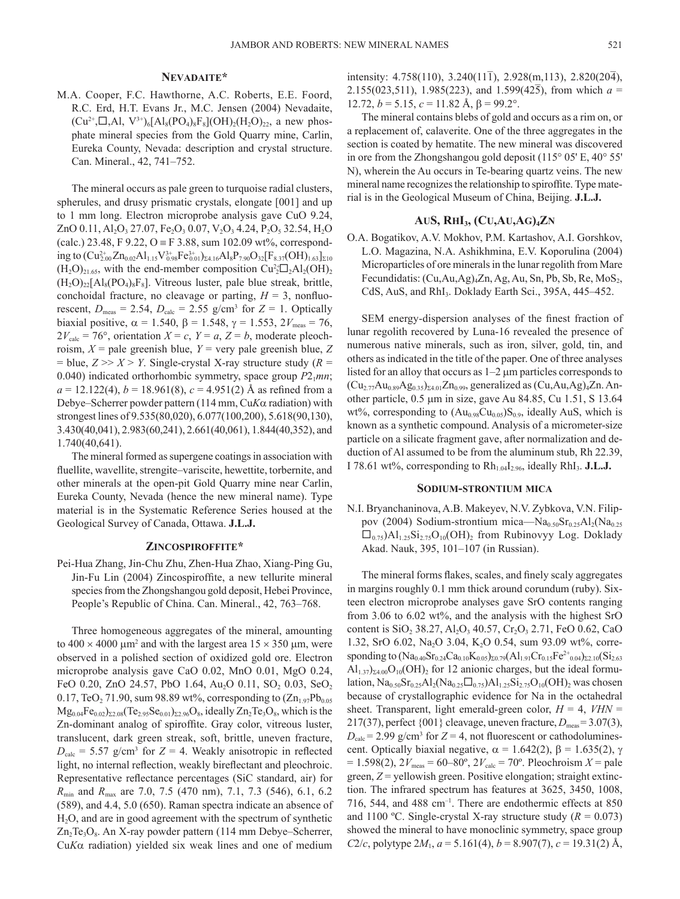M.A. Cooper, F.C. Hawthorne, A.C. Roberts, E.E. Foord, R.C. Erd, H.T. Evans Jr., M.C. Jensen (2004) Nevadaite,  $(Cu^{2+},\Box,A1, V^{3+})_6[A_8(PO_4)_8F_8](OH)_2(H_2O)_{22}$ , a new phosphate mineral species from the Gold Quarry mine, Carlin, Eureka County, Nevada: description and crystal structure. Can. Mineral., 42, 741–752.

The mineral occurs as pale green to turquoise radial clusters, spherules, and drusy prismatic crystals, elongate [001] and up to 1 mm long. Electron microprobe analysis gave CuO 9.24, ZnO 0.11, Al<sub>2</sub>O<sub>3</sub> 27.07, Fe<sub>2</sub>O<sub>3</sub> 0.07, V<sub>2</sub>O<sub>3</sub> 4.24, P<sub>2</sub>O<sub>5</sub> 32.54, H<sub>2</sub>O (calc.) 23.48, F 9.22, O = F 3.88, sum 102.09 wt%, corresponding to  $(Cu_{2.00}^{2+} Zn_{0.02}Al_{1.15}V_{0.98}^{3+}Fe_{0.01}^{3+})_{\Sigma 4.16}Al_8P_{7.90}O_{32}[F_{8.37}(OH)_{1.63}]_{\Sigma 10}$  $(H_2O)_{21.65}$ , with the end-member composition  $Cu_2^{2+}D_2Al_2(OH)_2$  $(H_2O)_{22}[Al_8(PO_4)_8F_8]$ . Vitreous luster, pale blue streak, brittle, conchoidal fracture, no cleavage or parting,  $H = 3$ , nonfluorescent,  $D_{\text{meas}} = 2.54$ ,  $D_{\text{calc}} = 2.55$  g/cm<sup>3</sup> for  $Z = 1$ . Optically biaxial positive,  $\alpha = 1.540$ ,  $\beta = 1.548$ ,  $\gamma = 1.553$ ,  $2V_{\text{meas}} = 76$ ,  $2V_{\text{calc}} = 76^{\circ}$ , orientation  $X = c$ ,  $Y = a$ ,  $Z = b$ , moderate pleochroism,  $X =$  pale greenish blue,  $Y =$  very pale greenish blue,  $Z$  $=$  blue,  $Z \gg X \geq Y$ . Single-crystal X-ray structure study ( $R =$ 0.040) indicated orthorhombic symmetry, space group  $P2_1mn$ ;  $a = 12.122(4)$ ,  $b = 18.961(8)$ ,  $c = 4.951(2)$  Å as refined from a Debye–Scherrer powder pattern (114 mm, Cu*K*α radiation) with strongest lines of 9.535(80,020), 6.077(100,200), 5.618(90,130), 3.430(40,041), 2.983(60,241), 2.661(40,061), 1.844(40,352), and 1.740(40,641).

The mineral formed as supergene coatings in association with fluellite, wavellite, strengite–variscite, hewettite, torbernite, and other minerals at the open-pit Gold Quarry mine near Carlin, Eureka County, Nevada (hence the new mineral name). Type material is in the Systematic Reference Series housed at the Geological Survey of Canada, Ottawa. **J.L.J.**

## **ZINCOSPIROFFITE\***

Pei-Hua Zhang, Jin-Chu Zhu, Zhen-Hua Zhao, Xiang-Ping Gu, Jin-Fu Lin (2004) Zincospiroffite, a new tellurite mineral species from the Zhongshangou gold deposit, Hebei Province, People's Republic of China. Can. Mineral., 42, 763–768.

Three homogeneous aggregates of the mineral, amounting to  $400 \times 4000$   $\mu$ m<sup>2</sup> and with the largest area  $15 \times 350$   $\mu$ m, were observed in a polished section of oxidized gold ore. Electron microprobe analysis gave CaO 0.02, MnO 0.01, MgO 0.24, FeO 0.20, ZnO 24.57, PbO 1.64, Au<sub>2</sub>O 0.11, SO<sub>2</sub> 0.03, SeO<sub>2</sub> 0.17, TeO<sub>2</sub> 71.90, sum 98.89 wt%, corresponding to  $(Zn_{1.97}Pb_{0.05})$  $Mg_{0.04}Fe_{0.02}$ )<sub>Σ2.08</sub>(Te<sub>2.95</sub>Se<sub>0.01</sub>)<sub>Σ2.96</sub>O<sub>8</sub>, ideally Zn<sub>2</sub>Te<sub>3</sub>O<sub>8</sub>, which is the Zn-dominant analog of spiroffite. Gray color, vitreous luster, translucent, dark green streak, soft, brittle, uneven fracture,  $D_{\text{calc}} = 5.57$  g/cm<sup>3</sup> for  $Z = 4$ . Weakly anisotropic in reflected light, no internal reflection, weakly bireflectant and pleochroic. Representative reflectance percentages (SiC standard, air) for *R*min and *R*max are 7.0, 7.5 (470 nm), 7.1, 7.3 (546), 6.1, 6.2 (589), and 4.4, 5.0 (650). Raman spectra indicate an absence of H2O, and are in good agreement with the spectrum of synthetic  $Zn_2Te_3O_8$ . An X-ray powder pattern (114 mm Debye–Scherrer, Cu*K*α radiation) yielded six weak lines and one of medium

intensity: 4.758(110), 3.240(111), 2.928(m,113), 2.820(204), 2.155(023,511), 1.985(223), and 1.599(425), from which  $a =$ 12.72,  $b = 5.15$ ,  $c = 11.82$  Å,  $β = 99.2$ °.

The mineral contains blebs of gold and occurs as a rim on, or a replacement of, calaverite. One of the three aggregates in the section is coated by hematite. The new mineral was discovered in ore from the Zhongshangou gold deposit (115° 05' E, 40° 55' N), wherein the Au occurs in Te-bearing quartz veins. The new mineral name recognizes the relationship to spiroffite. Type material is in the Geological Museum of China, Beijing. **J.L.J.**

### **AUS, RHI<sub>3</sub>, (CU,AU,AG)<sub>4</sub>ZN**

O.A. Bogatikov, A.V. Mokhov, P.M. Kartashov, A.I. Gorshkov, L.O. Magazina, N.A. Ashikhmina, E.V. Koporulina (2004) Microparticles of ore minerals in the lunar regolith from Mare Fecundidatis:  $(Cu, Au, Ag)$ <sub>4</sub>Zn, Ag, Au, Sn, Pb, Sb, Re, MoS<sub>2</sub>, CdS, AuS, and RhI<sub>3</sub>. Doklady Earth Sci., 395A, 445–452.

SEM energy-dispersion analyses of the finest fraction of lunar regolith recovered by Luna-16 revealed the presence of numerous native minerals, such as iron, silver, gold, tin, and others as indicated in the title of the paper. One of three analyses listed for an alloy that occurs as 1–2 µm particles corresponds to  $(Cu_{2.77}Au_{0.89}Ag_{0.35})_{\Sigma4.01}Zn_{0.99}$ , generalized as  $(Cu, Au, Ag)_4Zn$ . Another particle, 0.5 µm in size, gave Au 84.85, Cu 1.51, S 13.64 wt%, corresponding to  $(Au_{0.98}Cu_{0.05})S_{0.9}$ , ideally AuS, which is known as a synthetic compound. Analysis of a micrometer-size particle on a silicate fragment gave, after normalization and deduction of Al assumed to be from the aluminum stub, Rh 22.39, I 78.61 wt%, corresponding to  $Rh_{1.04}I_{2.96}$ , ideally  $RhI_3$ . **J.L.J.** 

## **SODIUM-STRONTIUM MICA**

N.I. Bryanchaninova, A.B. Makeyev, N.V. Zybkova, V.N. Filippov (2004) Sodium-strontium mica— $Na<sub>0.50</sub>Sr<sub>0.25</sub>Al<sub>2</sub>(Na<sub>0.25</sub>)$  $\square_{0.75}$ )Al<sub>1.25</sub>Si<sub>2.75</sub>O<sub>10</sub>(OH)<sub>2</sub> from Rubinovyy Log. Doklady Akad. Nauk, 395, 101–107 (in Russian).

The mineral forms flakes, scales, and finely scaly aggregates in margins roughly 0.1 mm thick around corundum (ruby). Sixteen electron microprobe analyses gave SrO contents ranging from 3.06 to 6.02 wt%, and the analysis with the highest SrO content is SiO<sub>2</sub> 38.27, Al<sub>2</sub>O<sub>3</sub> 40.57, Cr<sub>2</sub>O<sub>3</sub> 2.71, FeO 0.62, CaO 1.32, SrO 6.02, Na<sub>2</sub>O 3.04, K<sub>2</sub>O 0.54, sum 93.09 wt%, corresponding to  $(Na_{0.40}Sr_{0.24}Ca_{0.10}K_{0.05})_{\Sigma 0.79}(Al_{1.91}Cr_{0.15}Fe^{2+}{}_{0.04})_{\Sigma 2.10}(Si_{2.63}$  $\text{Al}_{1,37}$ )<sub>24.00</sub>O<sub>10</sub>(OH)<sub>2</sub> for 12 anionic charges, but the ideal formulation,  $\text{Na}_{0.50}\text{Sr}_{0.25}\text{Al}_2(\text{Na}_{0.25}\square_{0.75})\text{Al}_{1.25}\text{Si}_{2.75}\text{O}_{10}(\text{OH})_2$  was chosen because of crystallographic evidence for Na in the octahedral sheet. Transparent, light emerald-green color,  $H = 4$ ,  $VHN =$ 217(37), perfect  $\{001\}$  cleavage, uneven fracture,  $D_{\text{meas}} = 3.07(3)$ ,  $D_{\text{calc}}$  = 2.99 g/cm<sup>3</sup> for *Z* = 4, not fluorescent or cathodoluminescent. Optically biaxial negative,  $\alpha = 1.642(2)$ ,  $\beta = 1.635(2)$ , γ  $= 1.598(2)$ ,  $2V_{\text{meas}} = 60-80^{\circ}$ ,  $2V_{\text{calc}} = 70^{\circ}$ . Pleochroism  $X =$  pale green, *Z* = yellowish green. Positive elongation; straight extinction. The infrared spectrum has features at 3625, 3450, 1008, 716, 544, and 488 cm–1. There are endothermic effects at 850 and 1100 °C. Single-crystal X-ray structure study  $(R = 0.073)$ showed the mineral to have monoclinic symmetry, space group *C*2/*c*, polytype  $2M_1$ ,  $a = 5.161(4)$ ,  $b = 8.907(7)$ ,  $c = 19.31(2)$  Å,